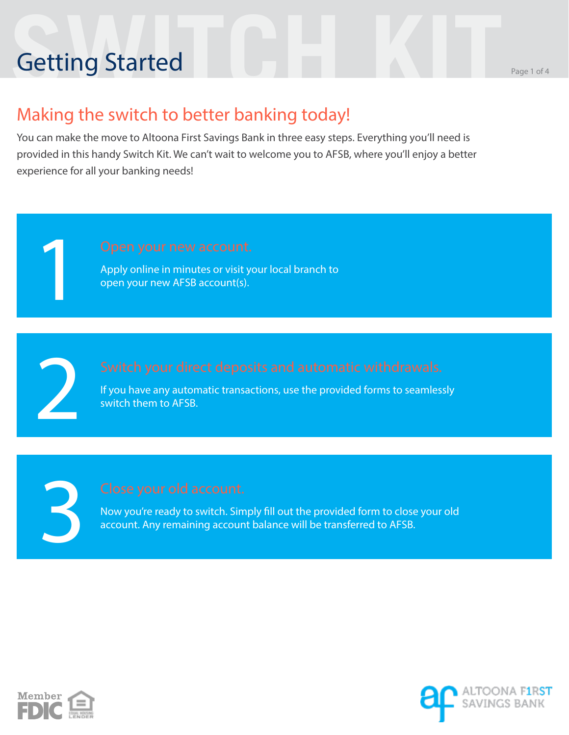# **Setting Started** Branch Page 1 of 4 Getting Started

#### Making the switch to better banking today!

You can make the move to Altoona First Savings Bank in three easy steps. Everything you'll need is provided in this handy Switch Kit. We can't wait to welcome you to AFSB, where you'll enjoy a better experience for all your banking needs!

Apply online in minutes or visit your local branch to open your new AFSB account(s).

If you have any automatic transactions, use the provided forms to seamlessly switch them to AFSB.

3

2

1

Now you're ready to switch. Simply fill out the provided form to close your old account. Any remaining account balance will be transferred to AFSB.



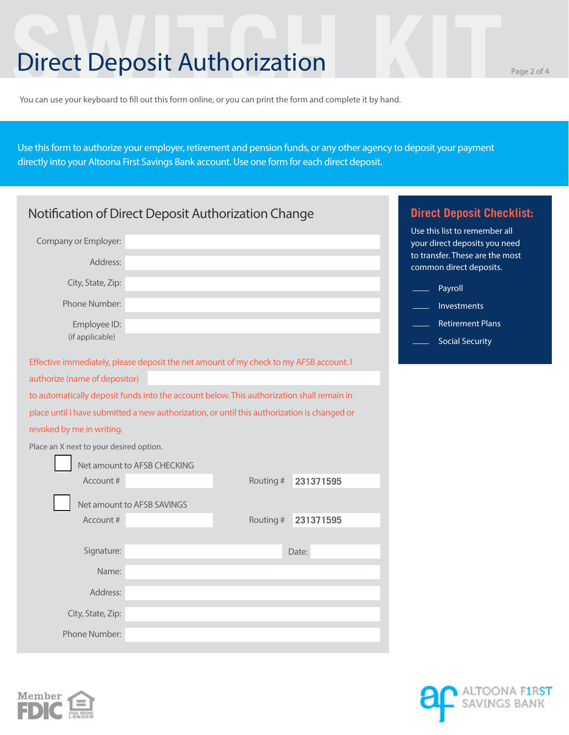### **SWITCH Deposit Authorization**

You can use your keyboard to fill out this form online, or you can print the form and complete it by hand.

Use this form to authorize your employer, retirement and pension funds, or any other agency to deposit your payment directly into your Altoona First Savings Bank account. Use one form for each direct deposit.

| Notification of Direct Deposit Authorization Change                                         | <b>Direct Deposit Checklist:</b> |           |           |                                                                                                   |
|---------------------------------------------------------------------------------------------|----------------------------------|-----------|-----------|---------------------------------------------------------------------------------------------------|
| Company or Employer:                                                                        |                                  |           |           | Use this list to remember all<br>your direct deposits you need<br>to transfer. These are the most |
| Address:                                                                                    |                                  |           |           | common direct deposits.                                                                           |
| City, State, Zip:                                                                           |                                  |           |           | Payroll                                                                                           |
| Phone Number:                                                                               |                                  |           |           | Investments                                                                                       |
| Employee ID:                                                                                |                                  |           |           | <b>Retirement Plans</b>                                                                           |
| (if applicable)                                                                             |                                  |           |           | <b>Social Security</b>                                                                            |
| Effective immediately, please deposit the net amount of my check to my AFSB account. I      |                                  |           |           |                                                                                                   |
| authorize (name of depositor)                                                               |                                  |           |           |                                                                                                   |
| to automatically deposit funds into the account below. This authorization shall remain in   |                                  |           |           |                                                                                                   |
| place until I have submitted a new authorization, or until this authorization is changed or |                                  |           |           |                                                                                                   |
| revoked by me in writing.                                                                   |                                  |           |           |                                                                                                   |
| Place an X next to your desired option.                                                     |                                  |           |           |                                                                                                   |
|                                                                                             | Net amount to AFSB CHECKING      |           |           |                                                                                                   |
| Account #                                                                                   |                                  | Routing # | 231371595 |                                                                                                   |
|                                                                                             | Net amount to AFSB SAVINGS       |           |           |                                                                                                   |
| Account #                                                                                   |                                  | Routing # | 231371595 |                                                                                                   |
|                                                                                             |                                  |           |           |                                                                                                   |
| Signature:                                                                                  |                                  |           | Date:     |                                                                                                   |
| Name:                                                                                       |                                  |           |           |                                                                                                   |
| Address:                                                                                    |                                  |           |           |                                                                                                   |
| City, State, Zip:                                                                           |                                  |           |           |                                                                                                   |
| Phone Number:                                                                               |                                  |           |           |                                                                                                   |



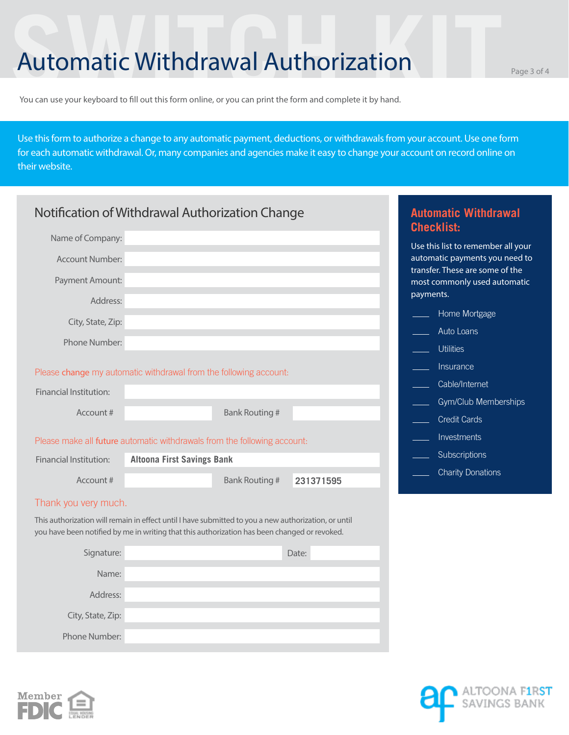#### Automatic Withdrawal Authorization Page 3 of 4

You can use your keyboard to fill out this form online, or you can print the form and complete it by hand.

Use this form to authorize a change to any automatic payment, deductions, or withdrawals from your account. Use one form for each automatic withdrawal. Or, many companies and agencies make it easy to change your account on record online on their website.

| Notification of Withdrawal Authorization Change | <b>Automatic Withdrawal</b><br><b>Checklist:</b>                                                                                                                                                     |           |                                                                              |
|-------------------------------------------------|------------------------------------------------------------------------------------------------------------------------------------------------------------------------------------------------------|-----------|------------------------------------------------------------------------------|
| Name of Company:<br><b>Account Number:</b>      |                                                                                                                                                                                                      |           | Use this list to remember all your<br>automatic payments you need to         |
| Payment Amount:<br>Address:                     |                                                                                                                                                                                                      |           | transfer. These are some of the<br>most commonly used automatic<br>payments. |
| City, State, Zip:                               |                                                                                                                                                                                                      |           | Home Mortgage<br>Auto Loans                                                  |
| Phone Number:                                   |                                                                                                                                                                                                      |           | <b>Utilities</b>                                                             |
| <b>Financial Institution:</b>                   | Please change my automatic withdrawal from the following account:                                                                                                                                    |           | Insurance<br>Cable/Internet                                                  |
| Account#                                        | <b>Bank Routing #</b>                                                                                                                                                                                |           | Gym/Club Memberships<br><b>Credit Cards</b>                                  |
|                                                 | Please make all future automatic withdrawals from the following account:                                                                                                                             |           | Investments                                                                  |
| <b>Financial Institution:</b>                   | <b>Altoona First Savings Bank</b>                                                                                                                                                                    |           | Subscriptions                                                                |
| Account#                                        | <b>Bank Routing #</b>                                                                                                                                                                                | 231371595 | <b>Charity Donations</b>                                                     |
| Thank you very much.                            |                                                                                                                                                                                                      |           |                                                                              |
|                                                 | This authorization will remain in effect until I have submitted to you a new authorization, or until<br>you have been notified by me in writing that this authorization has been changed or revoked. |           |                                                                              |
| Signature:                                      |                                                                                                                                                                                                      | Date:     |                                                                              |
| Name:                                           |                                                                                                                                                                                                      |           |                                                                              |
| Address:                                        |                                                                                                                                                                                                      |           |                                                                              |
| City, State, Zip:                               |                                                                                                                                                                                                      |           |                                                                              |
| Phone Number:                                   |                                                                                                                                                                                                      |           |                                                                              |